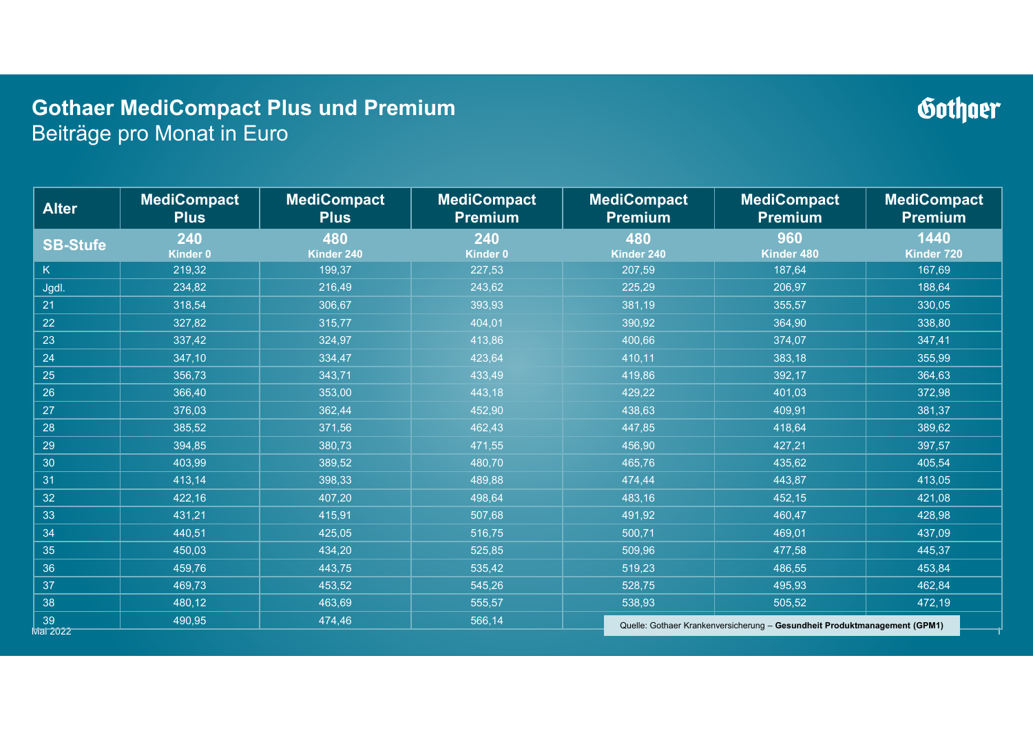### **Gothaer MediCompact Plus und Premium** Beiträge pro Monat in Euro

### 1Mai 2022**Alter MediCompact Plus MediCompact Plus MediCompact Premium MediCompact Premium MediCompact Premium MediCompact Premium SB-Stufe <sup>240</sup> Kinder 0 <sup>480</sup> Kinder 240 <sup>240</sup> Kinder 0 <sup>480</sup> Kinder 240 <sup>960</sup> Kinder 480 <sup>1440</sup> Kinder 720** KK | 219,32 | 199,37 | 227,53 | 207,59 | 187,64 | 167,69 Jgdl. | 234,82 | 216,49 | 243,62 | 225,29 | 206,97 | 188,64 21 | 318,54 | 306,67 | 393,93 | 381,19 | 355,57 | 330,05 22 | 327,82 | 315,77 | 404,01 | 390,92 | 364,90 | 338,80 23 337,42 324,97 413,86 400,66 374,07 347,41 24 347,10 334,47 423,64 410,11 383,18 355,99 25 356,73 343,71 433,49 419,86 392,17 364,63 26 366,40 353,00 443,18 429,22 401,03 372,98 27 376,03 362,44 452,90 438,63 409,91 381,37 28 385,52 371,56 462,43 447,85 418,64 389,62 29 394,85 380,73 471,55 456,90 427,21 397,57 30 403,99 389,52 480,70 465,76 435,62 405,54 31 413,14 398,33 489,88 474,44 443,87 413,05 32 422,16 407,20 498,64 483,16 452,15 421,08 33 431,21 415,91 507,68 491,92 460,47 428,98 34 440,51 425,05 516,75 500,71 469,01 437,09 35 450,03 434,20 525,85 509,96 477,58 445,37 36 | 459,76 | 443,75 | 535,42 | 519,23 | 486,55 | 453,84 37 469,73 453,52 545,26 528,75 495,93 462,84 38 480,12 463,69 555,57 538,93 505,52 472,19 <sup>39</sup> 490,95 474,46 566,14 549,36 515,70 482,05 Quelle: Gothaer Krankenversicherung – **Gesundheit Produktmanagement (GPM1)**

Gothner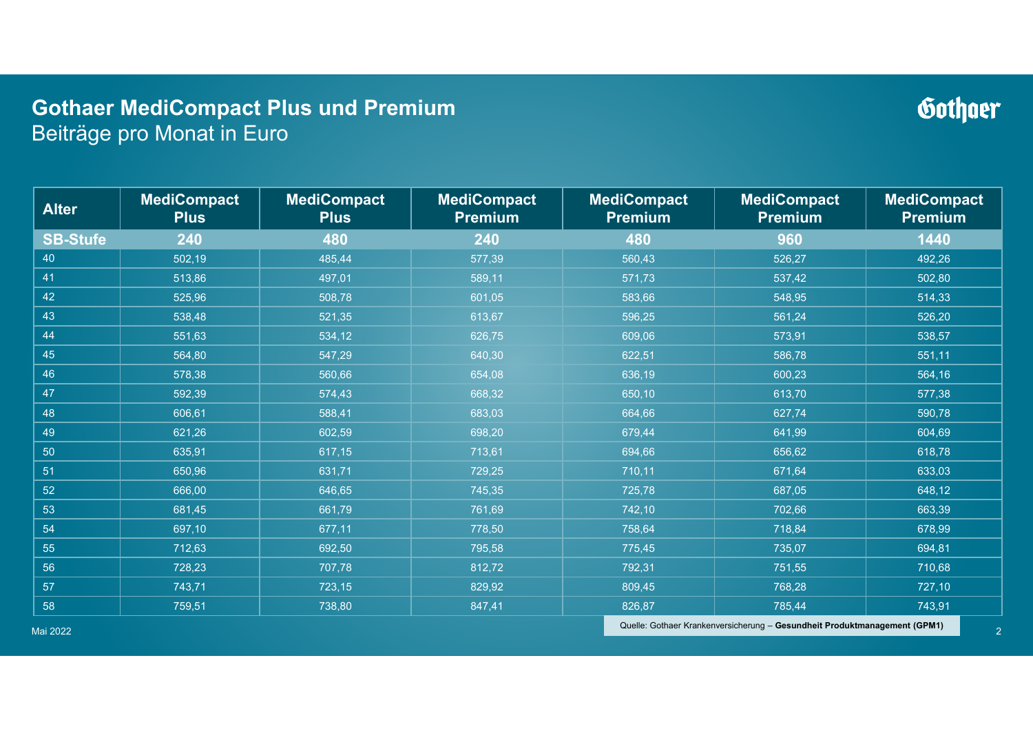### **Gothaer MediCompact Plus und Premium** Beiträge pro Monat in Euro

#### **Alter MediCompact Plus MediCompact Plus MediCompact PremiumMediCompact** | MediCompact | MediCompact | MediCompact | MediCompact | Premium **SB-Stufe 240 480 240 480 960 1440**40 502,19 485,44 577,39 560,43 526,27 492,26 41 513,86 497,01 589,11 571,73 537,42 502,80 42 525,96 508,78 601,05 583,66 548,95 514,33 43 $3$  538,48 | 521,35 | 613,67 | 596,25 | 561,24 | 526,20 44 551,63 534,12 626,75 609,06 573,91 538,57 45 564,80 547,29 640,30 622,51 586,78 551,11 46 578,38 560,66 654,08 636,19 600,23 564,16 47 592,39 574,43 668,32 650,10 613,70 577,38 48 606,61 588,41 683,03 664,66 627,74 590,78 49 621,26 602,59 698,20 679,44 641,99 604,69 50 635,91 617,15 713,61 694,66 656,62 618,78 51 650,96 631,71 729,25 710,11 671,64 633,03 52 666,00 646,65 745,35 725,78 687,05 648,12 53 681,45 661,79 761,69 742,10 702,66 663,39 54 697,10 677,11 778,50 758,64 718,84 678,99 55 712,63 692,50 795,58 775,45 735,07 694,81 56 728,23 707,78 812,72 792,31 751,55 710,68 57 743,71 723,15 829,92 809,45 768,28 727,10 58759,51 738,80 847,41 826,87 785,44 743,91

Mai 2022

Quelle: Gothaer Krankenversicherung – **Gesundheit Produktmanagement (GPM1)**

## Gothner